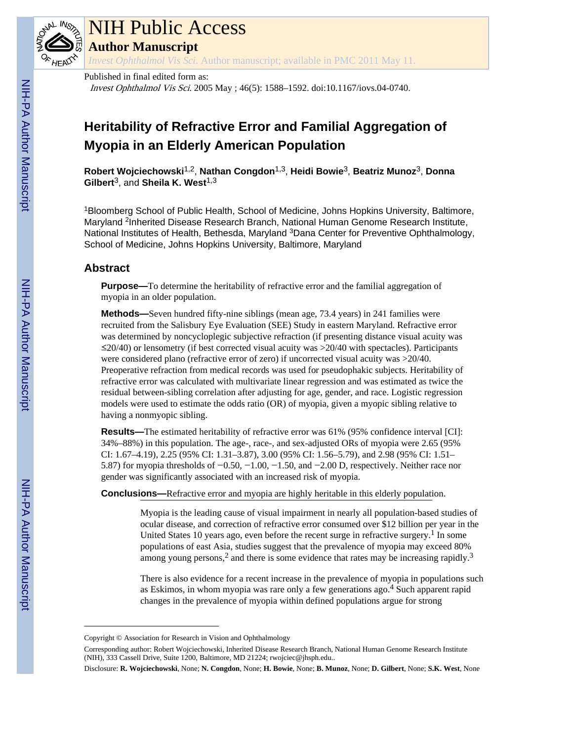

# NIH Public Access

**Author Manuscript**

*Invest Ophthalmol Vis Sci*. Author manuscript; available in PMC 2011 May 11.

Published in final edited form as:

Invest Ophthalmol Vis Sci. 2005 May ; 46(5): 1588–1592. doi:10.1167/iovs.04-0740.

# **Heritability of Refractive Error and Familial Aggregation of Myopia in an Elderly American Population**

**Robert Wojciechowski**1,2, **Nathan Congdon**1,3, **Heidi Bowie**3, **Beatriz Munoz**3, **Donna** Gilbert<sup>3</sup>, and Sheila K. West<sup>1,3</sup>

<sup>1</sup>Bloomberg School of Public Health, School of Medicine, Johns Hopkins University, Baltimore, Maryland <sup>2</sup>Inherited Disease Research Branch, National Human Genome Research Institute, National Institutes of Health, Bethesda, Maryland <sup>3</sup>Dana Center for Preventive Ophthalmology, School of Medicine, Johns Hopkins University, Baltimore, Maryland

# **Abstract**

**Purpose—**To determine the heritability of refractive error and the familial aggregation of myopia in an older population.

**Methods—**Seven hundred fifty-nine siblings (mean age, 73.4 years) in 241 families were recruited from the Salisbury Eye Evaluation (SEE) Study in eastern Maryland. Refractive error was determined by noncycloplegic subjective refraction (if presenting distance visual acuity was  $\leq$ 20/40) or lensometry (if best corrected visual acuity was  $>$ 20/40 with spectacles). Participants were considered plano (refractive error of zero) if uncorrected visual acuity was >20/40. Preoperative refraction from medical records was used for pseudophakic subjects. Heritability of refractive error was calculated with multivariate linear regression and was estimated as twice the residual between-sibling correlation after adjusting for age, gender, and race. Logistic regression models were used to estimate the odds ratio (OR) of myopia, given a myopic sibling relative to having a nonmyopic sibling.

**Results—**The estimated heritability of refractive error was 61% (95% confidence interval [CI]: 34%–88%) in this population. The age-, race-, and sex-adjusted ORs of myopia were 2.65 (95% CI: 1.67–4.19), 2.25 (95% CI: 1.31–3.87), 3.00 (95% CI: 1.56–5.79), and 2.98 (95% CI: 1.51– 5.87) for myopia thresholds of −0.50, −1.00, −1.50, and −2.00 D, respectively. Neither race nor gender was significantly associated with an increased risk of myopia.

**Conclusions—**Refractive error and myopia are highly heritable in this elderly population.

Myopia is the leading cause of visual impairment in nearly all population-based studies of ocular disease, and correction of refractive error consumed over \$12 billion per year in the United States 10 years ago, even before the recent surge in refractive surgery.<sup>1</sup> In some populations of east Asia, studies suggest that the prevalence of myopia may exceed 80% among young persons,<sup>2</sup> and there is some evidence that rates may be increasing rapidly.<sup>3</sup>

There is also evidence for a recent increase in the prevalence of myopia in populations such as Eskimos, in whom myopia was rare only a few generations ago.<sup>4</sup> Such apparent rapid changes in the prevalence of myopia within defined populations argue for strong

Copyright © Association for Research in Vision and Ophthalmology

Corresponding author: Robert Wojciechowski, Inherited Disease Research Branch, National Human Genome Research Institute (NIH), 333 Cassell Drive, Suite 1200, Baltimore, MD 21224; rwojciec@jhsph.edu..

Disclosure: **R. Wojciechowski**, None; **N. Congdon**, None; **H. Bowie**, None; **B. Munoz**, None; **D. Gilbert**, None; **S.K. West**, None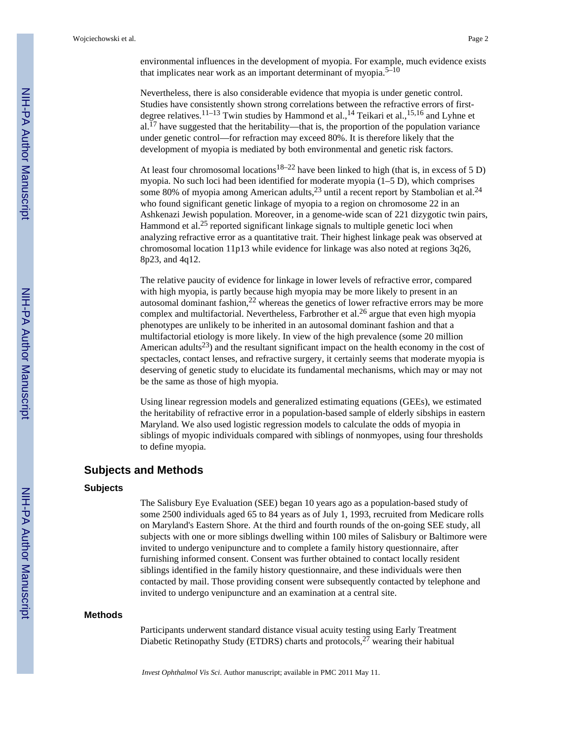environmental influences in the development of myopia. For example, much evidence exists that implicates near work as an important determinant of myopia.<sup>5–10</sup>

Nevertheless, there is also considerable evidence that myopia is under genetic control. Studies have consistently shown strong correlations between the refractive errors of firstdegree relatives.<sup>11–13</sup> Twin studies by Hammond et al.,<sup>14</sup> Teikari et al.,<sup>15,16</sup> and Lyhne et  $al.$ <sup>17</sup> have suggested that the heritability—that is, the proportion of the population variance under genetic control—for refraction may exceed 80%. It is therefore likely that the development of myopia is mediated by both environmental and genetic risk factors.

At least four chromosomal locations<sup>18–22</sup> have been linked to high (that is, in excess of 5 D) myopia. No such loci had been identified for moderate myopia (1–5 D), which comprises some 80% of myopia among American adults,  $^{23}$  until a recent report by Stambolian et al.<sup>24</sup> who found significant genetic linkage of myopia to a region on chromosome 22 in an Ashkenazi Jewish population. Moreover, in a genome-wide scan of 221 dizygotic twin pairs, Hammond et al.<sup>25</sup> reported significant linkage signals to multiple genetic loci when analyzing refractive error as a quantitative trait. Their highest linkage peak was observed at chromosomal location 11p13 while evidence for linkage was also noted at regions 3q26, 8p23, and 4q12.

The relative paucity of evidence for linkage in lower levels of refractive error, compared with high myopia, is partly because high myopia may be more likely to present in an autosomal dominant fashion, $^{22}$  whereas the genetics of lower refractive errors may be more complex and multifactorial. Nevertheless, Farbrother et al.<sup>26</sup> argue that even high myopia phenotypes are unlikely to be inherited in an autosomal dominant fashion and that a multifactorial etiology is more likely. In view of the high prevalence (some 20 million American adults<sup>23</sup>) and the resultant significant impact on the health economy in the cost of spectacles, contact lenses, and refractive surgery, it certainly seems that moderate myopia is deserving of genetic study to elucidate its fundamental mechanisms, which may or may not be the same as those of high myopia.

Using linear regression models and generalized estimating equations (GEEs), we estimated the heritability of refractive error in a population-based sample of elderly sibships in eastern Maryland. We also used logistic regression models to calculate the odds of myopia in siblings of myopic individuals compared with siblings of nonmyopes, using four thresholds to define myopia.

# **Subjects and Methods**

#### **Subjects**

The Salisbury Eye Evaluation (SEE) began 10 years ago as a population-based study of some 2500 individuals aged 65 to 84 years as of July 1, 1993, recruited from Medicare rolls on Maryland's Eastern Shore. At the third and fourth rounds of the on-going SEE study, all subjects with one or more siblings dwelling within 100 miles of Salisbury or Baltimore were invited to undergo venipuncture and to complete a family history questionnaire, after furnishing informed consent. Consent was further obtained to contact locally resident siblings identified in the family history questionnaire, and these individuals were then contacted by mail. Those providing consent were subsequently contacted by telephone and invited to undergo venipuncture and an examination at a central site.

#### **Methods**

Participants underwent standard distance visual acuity testing using Early Treatment Diabetic Retinopathy Study (ETDRS) charts and protocols,  $2^7$  wearing their habitual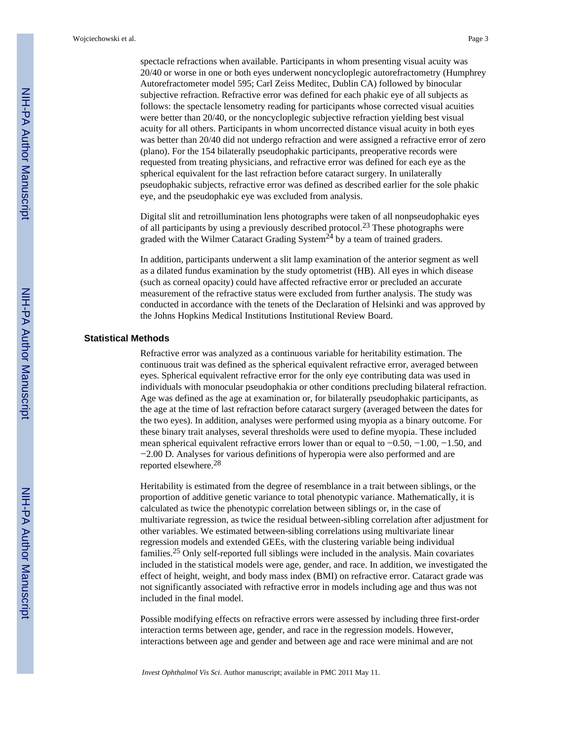spectacle refractions when available. Participants in whom presenting visual acuity was 20/40 or worse in one or both eyes underwent noncycloplegic autorefractometry (Humphrey Autorefractometer model 595; Carl Zeiss Meditec, Dublin CA) followed by binocular subjective refraction. Refractive error was defined for each phakic eye of all subjects as follows: the spectacle lensometry reading for participants whose corrected visual acuities were better than 20/40, or the noncycloplegic subjective refraction yielding best visual acuity for all others. Participants in whom uncorrected distance visual acuity in both eyes was better than 20/40 did not undergo refraction and were assigned a refractive error of zero (plano). For the 154 bilaterally pseudophakic participants, preoperative records were requested from treating physicians, and refractive error was defined for each eye as the spherical equivalent for the last refraction before cataract surgery. In unilaterally pseudophakic subjects, refractive error was defined as described earlier for the sole phakic eye, and the pseudophakic eye was excluded from analysis.

Digital slit and retroillumination lens photographs were taken of all nonpseudophakic eyes of all participants by using a previously described protocol.<sup>23</sup> These photographs were graded with the Wilmer Cataract Grading System<sup>24</sup> by a team of trained graders.

In addition, participants underwent a slit lamp examination of the anterior segment as well as a dilated fundus examination by the study optometrist (HB). All eyes in which disease (such as corneal opacity) could have affected refractive error or precluded an accurate measurement of the refractive status were excluded from further analysis. The study was conducted in accordance with the tenets of the Declaration of Helsinki and was approved by the Johns Hopkins Medical Institutions Institutional Review Board.

#### **Statistical Methods**

Refractive error was analyzed as a continuous variable for heritability estimation. The continuous trait was defined as the spherical equivalent refractive error, averaged between eyes. Spherical equivalent refractive error for the only eye contributing data was used in individuals with monocular pseudophakia or other conditions precluding bilateral refraction. Age was defined as the age at examination or, for bilaterally pseudophakic participants, as the age at the time of last refraction before cataract surgery (averaged between the dates for the two eyes). In addition, analyses were performed using myopia as a binary outcome. For these binary trait analyses, several thresholds were used to define myopia. These included mean spherical equivalent refractive errors lower than or equal to −0.50, −1.00, −1.50, and −2.00 D. Analyses for various definitions of hyperopia were also performed and are reported elsewhere.<sup>28</sup>

Heritability is estimated from the degree of resemblance in a trait between siblings, or the proportion of additive genetic variance to total phenotypic variance. Mathematically, it is calculated as twice the phenotypic correlation between siblings or, in the case of multivariate regression, as twice the residual between-sibling correlation after adjustment for other variables. We estimated between-sibling correlations using multivariate linear regression models and extended GEEs, with the clustering variable being individual families.25 Only self-reported full siblings were included in the analysis. Main covariates included in the statistical models were age, gender, and race. In addition, we investigated the effect of height, weight, and body mass index (BMI) on refractive error. Cataract grade was not significantly associated with refractive error in models including age and thus was not included in the final model.

Possible modifying effects on refractive errors were assessed by including three first-order interaction terms between age, gender, and race in the regression models. However, interactions between age and gender and between age and race were minimal and are not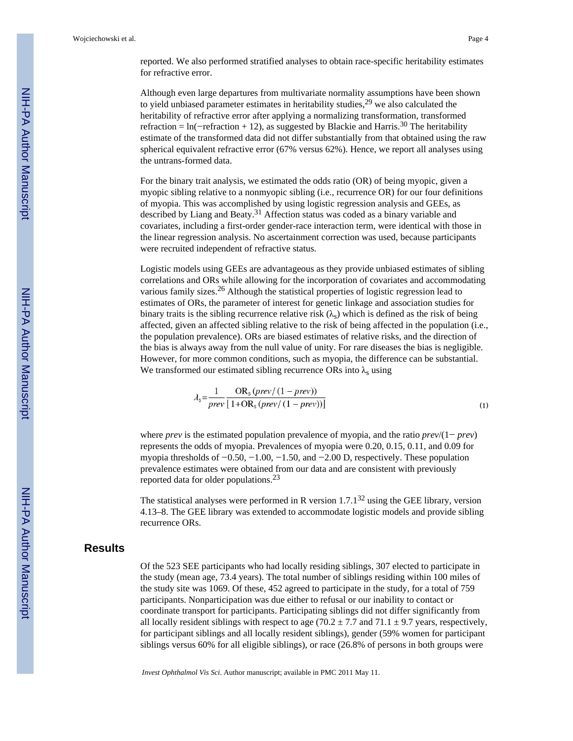reported. We also performed stratified analyses to obtain race-specific heritability estimates for refractive error.

Although even large departures from multivariate normality assumptions have been shown to yield unbiased parameter estimates in heritability studies,  $29$  we also calculated the heritability of refractive error after applying a normalizing transformation, transformed refraction = ln(−refraction + 12), as suggested by Blackie and Harris.<sup>30</sup> The heritability estimate of the transformed data did not differ substantially from that obtained using the raw spherical equivalent refractive error (67% versus 62%). Hence, we report all analyses using the untrans-formed data.

For the binary trait analysis, we estimated the odds ratio (OR) of being myopic, given a myopic sibling relative to a nonmyopic sibling (i.e., recurrence OR) for our four definitions of myopia. This was accomplished by using logistic regression analysis and GEEs, as described by Liang and Beaty.<sup>31</sup> Affection status was coded as a binary variable and covariates, including a first-order gender-race interaction term, were identical with those in the linear regression analysis. No ascertainment correction was used, because participants were recruited independent of refractive status.

Logistic models using GEEs are advantageous as they provide unbiased estimates of sibling correlations and ORs while allowing for the incorporation of covariates and accommodating various family sizes.26 Although the statistical properties of logistic regression lead to estimates of ORs, the parameter of interest for genetic linkage and association studies for binary traits is the sibling recurrence relative risk  $(\lambda_s)$  which is defined as the risk of being affected, given an affected sibling relative to the risk of being affected in the population (i.e., the population prevalence). ORs are biased estimates of relative risks, and the direction of the bias is always away from the null value of unity. For rare diseases the bias is negligible. However, for more common conditions, such as myopia, the difference can be substantial. We transformed our estimated sibling recurrence ORs into  $\lambda_s$  using

$$
\lambda_{\rm s} = \frac{1}{prev} \frac{\text{OR}_{\rm s} \left(\text{prev} / \left(1 - \text{prev}\right)\right)}{1 + \text{OR}_{\rm s} \left(\text{prev} / \left(1 - \text{prev}\right)\right)}\tag{1}
$$

where *prev* is the estimated population prevalence of myopia, and the ratio *prev*/(1− *prev*) represents the odds of myopia. Prevalences of myopia were 0.20, 0.15, 0.11, and 0.09 for myopia thresholds of −0.50, −1.00, −1.50, and −2.00 D, respectively. These population prevalence estimates were obtained from our data and are consistent with previously reported data for older populations.<sup>23</sup>

The statistical analyses were performed in R version  $1.7 \cdot 1^{32}$  using the GEE library, version 4.13–8. The GEE library was extended to accommodate logistic models and provide sibling recurrence ORs.

# **Results**

Of the 523 SEE participants who had locally residing siblings, 307 elected to participate in the study (mean age, 73.4 years). The total number of siblings residing within 100 miles of the study site was 1069. Of these, 452 agreed to participate in the study, for a total of 759 participants. Nonparticipation was due either to refusal or our inability to contact or coordinate transport for participants. Participating siblings did not differ significantly from all locally resident siblings with respect to age (70.2  $\pm$  7.7 and 71.1  $\pm$  9.7 years, respectively, for participant siblings and all locally resident siblings), gender (59% women for participant siblings versus 60% for all eligible siblings), or race (26.8% of persons in both groups were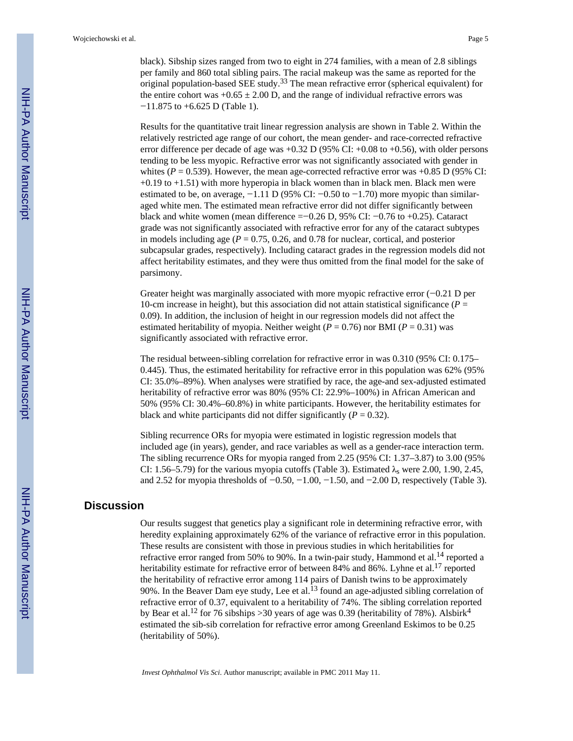black). Sibship sizes ranged from two to eight in 274 families, with a mean of 2.8 siblings per family and 860 total sibling pairs. The racial makeup was the same as reported for the original population-based SEE study.33 The mean refractive error (spherical equivalent) for the entire cohort was  $+0.65 \pm 2.00$  D, and the range of individual refractive errors was −11.875 to +6.625 D (Table 1).

Results for the quantitative trait linear regression analysis are shown in Table 2. Within the relatively restricted age range of our cohort, the mean gender- and race-corrected refractive error difference per decade of age was +0.32 D (95% CI: +0.08 to +0.56), with older persons tending to be less myopic. Refractive error was not significantly associated with gender in whites ( $P = 0.539$ ). However, the mean age-corrected refractive error was  $+0.85$  D (95% CI: +0.19 to +1.51) with more hyperopia in black women than in black men. Black men were estimated to be, on average,  $-1.11$  D (95% CI:  $-0.50$  to  $-1.70$ ) more myopic than similaraged white men. The estimated mean refractive error did not differ significantly between black and white women (mean difference =−0.26 D, 95% CI: −0.76 to +0.25). Cataract grade was not significantly associated with refractive error for any of the cataract subtypes in models including age ( $P = 0.75, 0.26$ , and 0.78 for nuclear, cortical, and posterior subcapsular grades, respectively). Including cataract grades in the regression models did not affect heritability estimates, and they were thus omitted from the final model for the sake of parsimony.

Greater height was marginally associated with more myopic refractive error (−0.21 D per 10-cm increase in height), but this association did not attain statistical significance ( $P =$ 0.09). In addition, the inclusion of height in our regression models did not affect the estimated heritability of myopia. Neither weight ( $P = 0.76$ ) nor BMI ( $P = 0.31$ ) was significantly associated with refractive error.

The residual between-sibling correlation for refractive error in was 0.310 (95% CI: 0.175– 0.445). Thus, the estimated heritability for refractive error in this population was 62% (95% CI: 35.0%–89%). When analyses were stratified by race, the age-and sex-adjusted estimated heritability of refractive error was 80% (95% CI: 22.9%–100%) in African American and 50% (95% CI: 30.4%–60.8%) in white participants. However, the heritability estimates for black and white participants did not differ significantly  $(P = 0.32)$ .

Sibling recurrence ORs for myopia were estimated in logistic regression models that included age (in years), gender, and race variables as well as a gender-race interaction term. The sibling recurrence ORs for myopia ranged from 2.25 (95% CI: 1.37–3.87) to 3.00 (95% CI: 1.56–5.79) for the various myopia cutoffs (Table 3). Estimated  $\lambda_s$  were 2.00, 1.90, 2.45, and 2.52 for myopia thresholds of  $-0.50$ ,  $-1.00$ ,  $-1.50$ , and  $-2.00$  D, respectively (Table 3).

# **Discussion**

Our results suggest that genetics play a significant role in determining refractive error, with heredity explaining approximately 62% of the variance of refractive error in this population. These results are consistent with those in previous studies in which heritabilities for refractive error ranged from 50% to 90%. In a twin-pair study, Hammond et al.<sup>14</sup> reported a heritability estimate for refractive error of between 84% and 86%. Lyhne et al.<sup>17</sup> reported the heritability of refractive error among 114 pairs of Danish twins to be approximately 90%. In the Beaver Dam eye study, Lee et al.<sup>13</sup> found an age-adjusted sibling correlation of refractive error of 0.37, equivalent to a heritability of 74%. The sibling correlation reported by Bear et al.<sup>12</sup> for 76 sibships > 30 years of age was 0.39 (heritability of 78%). Alsbirk<sup>4</sup> estimated the sib-sib correlation for refractive error among Greenland Eskimos to be 0.25 (heritability of 50%).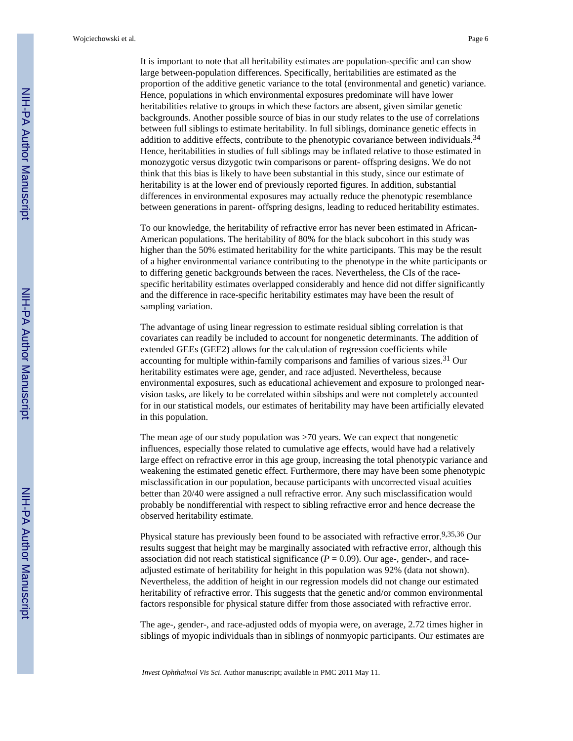It is important to note that all heritability estimates are population-specific and can show large between-population differences. Specifically, heritabilities are estimated as the proportion of the additive genetic variance to the total (environmental and genetic) variance. Hence, populations in which environmental exposures predominate will have lower heritabilities relative to groups in which these factors are absent, given similar genetic backgrounds. Another possible source of bias in our study relates to the use of correlations between full siblings to estimate heritability. In full siblings, dominance genetic effects in addition to additive effects, contribute to the phenotypic covariance between individuals.<sup>34</sup> Hence, heritabilities in studies of full siblings may be inflated relative to those estimated in monozygotic versus dizygotic twin comparisons or parent- offspring designs. We do not think that this bias is likely to have been substantial in this study, since our estimate of heritability is at the lower end of previously reported figures. In addition, substantial differences in environmental exposures may actually reduce the phenotypic resemblance between generations in parent- offspring designs, leading to reduced heritability estimates.

To our knowledge, the heritability of refractive error has never been estimated in African-American populations. The heritability of 80% for the black subcohort in this study was higher than the 50% estimated heritability for the white participants. This may be the result of a higher environmental variance contributing to the phenotype in the white participants or to differing genetic backgrounds between the races. Nevertheless, the CIs of the racespecific heritability estimates overlapped considerably and hence did not differ significantly and the difference in race-specific heritability estimates may have been the result of sampling variation.

The advantage of using linear regression to estimate residual sibling correlation is that covariates can readily be included to account for nongenetic determinants. The addition of extended GEEs (GEE2) allows for the calculation of regression coefficients while accounting for multiple within-family comparisons and families of various sizes.<sup>31</sup> Our heritability estimates were age, gender, and race adjusted. Nevertheless, because environmental exposures, such as educational achievement and exposure to prolonged nearvision tasks, are likely to be correlated within sibships and were not completely accounted for in our statistical models, our estimates of heritability may have been artificially elevated in this population.

The mean age of our study population was >70 years. We can expect that nongenetic influences, especially those related to cumulative age effects, would have had a relatively large effect on refractive error in this age group, increasing the total phenotypic variance and weakening the estimated genetic effect. Furthermore, there may have been some phenotypic misclassification in our population, because participants with uncorrected visual acuities better than 20/40 were assigned a null refractive error. Any such misclassification would probably be nondifferential with respect to sibling refractive error and hence decrease the observed heritability estimate.

Physical stature has previously been found to be associated with refractive error.<sup>9,35,36</sup> Our results suggest that height may be marginally associated with refractive error, although this association did not reach statistical significance  $(P = 0.09)$ . Our age-, gender-, and raceadjusted estimate of heritability for height in this population was 92% (data not shown). Nevertheless, the addition of height in our regression models did not change our estimated heritability of refractive error. This suggests that the genetic and/or common environmental factors responsible for physical stature differ from those associated with refractive error.

The age-, gender-, and race-adjusted odds of myopia were, on average, 2.72 times higher in siblings of myopic individuals than in siblings of nonmyopic participants. Our estimates are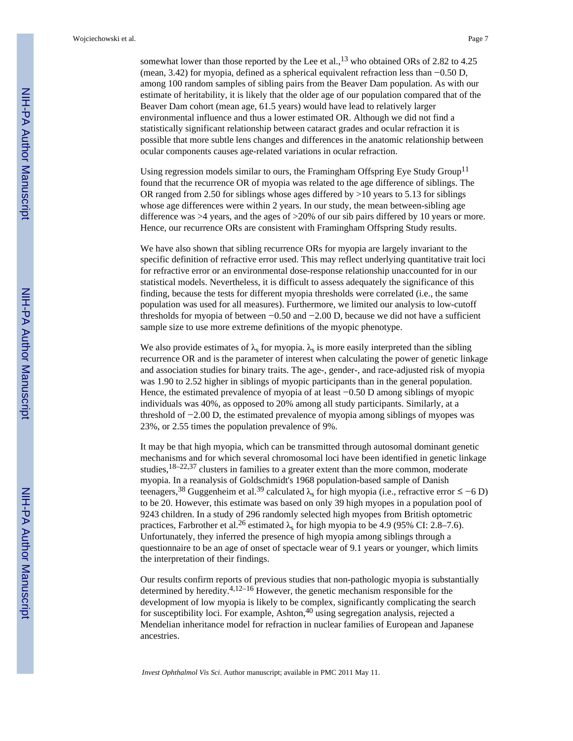somewhat lower than those reported by the Lee et al.,  $^{13}$  who obtained ORs of 2.82 to 4.25 (mean, 3.42) for myopia, defined as a spherical equivalent refraction less than −0.50 D, among 100 random samples of sibling pairs from the Beaver Dam population. As with our estimate of heritability, it is likely that the older age of our population compared that of the Beaver Dam cohort (mean age, 61.5 years) would have lead to relatively larger environmental influence and thus a lower estimated OR. Although we did not find a statistically significant relationship between cataract grades and ocular refraction it is possible that more subtle lens changes and differences in the anatomic relationship between ocular components causes age-related variations in ocular refraction.

Using regression models similar to ours, the Framingham Offspring Eye Study Group<sup>11</sup> found that the recurrence OR of myopia was related to the age difference of siblings. The OR ranged from 2.50 for siblings whose ages differed by >10 years to 5.13 for siblings whose age differences were within 2 years. In our study, the mean between-sibling age difference was >4 years, and the ages of >20% of our sib pairs differed by 10 years or more. Hence, our recurrence ORs are consistent with Framingham Offspring Study results.

We have also shown that sibling recurrence ORs for myopia are largely invariant to the specific definition of refractive error used. This may reflect underlying quantitative trait loci for refractive error or an environmental dose-response relationship unaccounted for in our statistical models. Nevertheless, it is difficult to assess adequately the significance of this finding, because the tests for different myopia thresholds were correlated (i.e., the same population was used for all measures). Furthermore, we limited our analysis to low-cutoff thresholds for myopia of between  $-0.50$  and  $-2.00$  D, because we did not have a sufficient sample size to use more extreme definitions of the myopic phenotype.

We also provide estimates of  $\lambda_s$  for myopia.  $\lambda_s$  is more easily interpreted than the sibling recurrence OR and is the parameter of interest when calculating the power of genetic linkage and association studies for binary traits. The age-, gender-, and race-adjusted risk of myopia was 1.90 to 2.52 higher in siblings of myopic participants than in the general population. Hence, the estimated prevalence of myopia of at least −0.50 D among siblings of myopic individuals was 40%, as opposed to 20% among all study participants. Similarly, at a threshold of −2.00 D, the estimated prevalence of myopia among siblings of myopes was 23%, or 2.55 times the population prevalence of 9%.

It may be that high myopia, which can be transmitted through autosomal dominant genetic mechanisms and for which several chromosomal loci have been identified in genetic linkage studies,  $18-22,37$  clusters in families to a greater extent than the more common, moderate myopia. In a reanalysis of Goldschmidt's 1968 population-based sample of Danish teenagers,<sup>38</sup> Guggenheim et al.<sup>39</sup> calculated  $\lambda_{\rm s}$  for high myopia (i.e., refractive error ≤ −6 D) to be 20. However, this estimate was based on only 39 high myopes in a population pool of 9243 children. In a study of 296 randomly selected high myopes from British optometric practices, Farbrother et al.<sup>26</sup> estimated  $\lambda_{\rm s}$  for high myopia to be 4.9 (95% CI: 2.8–7.6). Unfortunately, they inferred the presence of high myopia among siblings through a questionnaire to be an age of onset of spectacle wear of 9.1 years or younger, which limits the interpretation of their findings.

Our results confirm reports of previous studies that non-pathologic myopia is substantially determined by heredity.<sup>4,12–16</sup> However, the genetic mechanism responsible for the development of low myopia is likely to be complex, significantly complicating the search for susceptibility loci. For example, Ashton, $40$  using segregation analysis, rejected a Mendelian inheritance model for refraction in nuclear families of European and Japanese ancestries.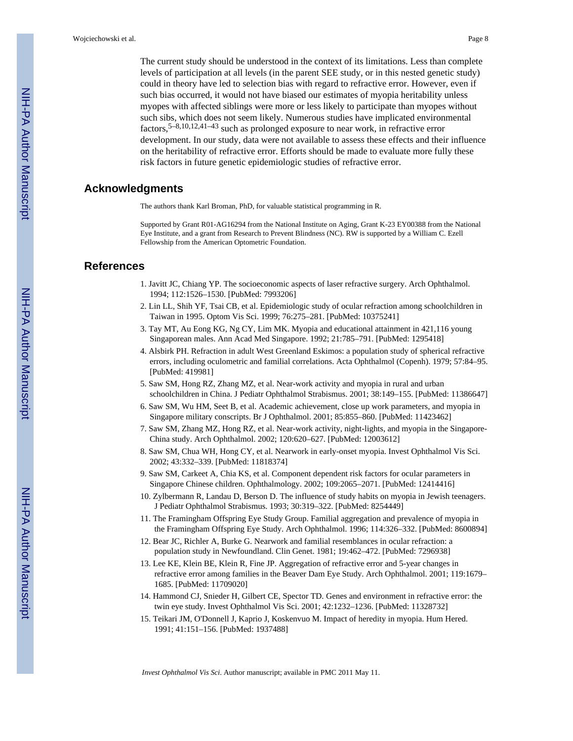The current study should be understood in the context of its limitations. Less than complete levels of participation at all levels (in the parent SEE study, or in this nested genetic study) could in theory have led to selection bias with regard to refractive error. However, even if such bias occurred, it would not have biased our estimates of myopia heritability unless myopes with affected siblings were more or less likely to participate than myopes without such sibs, which does not seem likely. Numerous studies have implicated environmental factors,5–8,10,12,41–43 such as prolonged exposure to near work, in refractive error development. In our study, data were not available to assess these effects and their influence on the heritability of refractive error. Efforts should be made to evaluate more fully these risk factors in future genetic epidemiologic studies of refractive error.

# **Acknowledgments**

The authors thank Karl Broman, PhD, for valuable statistical programming in R.

Supported by Grant R01-AG16294 from the National Institute on Aging, Grant K-23 EY00388 from the National Eye Institute, and a grant from Research to Prevent Blindness (NC). RW is supported by a William C. Ezell Fellowship from the American Optometric Foundation.

#### **References**

- 1. Javitt JC, Chiang YP. The socioeconomic aspects of laser refractive surgery. Arch Ophthalmol. 1994; 112:1526–1530. [PubMed: 7993206]
- 2. Lin LL, Shih YF, Tsai CB, et al. Epidemiologic study of ocular refraction among schoolchildren in Taiwan in 1995. Optom Vis Sci. 1999; 76:275–281. [PubMed: 10375241]
- 3. Tay MT, Au Eong KG, Ng CY, Lim MK. Myopia and educational attainment in 421,116 young Singaporean males. Ann Acad Med Singapore. 1992; 21:785–791. [PubMed: 1295418]
- 4. Alsbirk PH. Refraction in adult West Greenland Eskimos: a population study of spherical refractive errors, including oculometric and familial correlations. Acta Ophthalmol (Copenh). 1979; 57:84–95. [PubMed: 419981]
- 5. Saw SM, Hong RZ, Zhang MZ, et al. Near-work activity and myopia in rural and urban schoolchildren in China. J Pediatr Ophthalmol Strabismus. 2001; 38:149–155. [PubMed: 11386647]
- 6. Saw SM, Wu HM, Seet B, et al. Academic achievement, close up work parameters, and myopia in Singapore military conscripts. Br J Ophthalmol. 2001; 85:855–860. [PubMed: 11423462]
- 7. Saw SM, Zhang MZ, Hong RZ, et al. Near-work activity, night-lights, and myopia in the Singapore-China study. Arch Ophthalmol. 2002; 120:620–627. [PubMed: 12003612]
- 8. Saw SM, Chua WH, Hong CY, et al. Nearwork in early-onset myopia. Invest Ophthalmol Vis Sci. 2002; 43:332–339. [PubMed: 11818374]
- 9. Saw SM, Carkeet A, Chia KS, et al. Component dependent risk factors for ocular parameters in Singapore Chinese children. Ophthalmology. 2002; 109:2065–2071. [PubMed: 12414416]
- 10. Zylbermann R, Landau D, Berson D. The influence of study habits on myopia in Jewish teenagers. J Pediatr Ophthalmol Strabismus. 1993; 30:319–322. [PubMed: 8254449]
- 11. The Framingham Offspring Eye Study Group. Familial aggregation and prevalence of myopia in the Framingham Offspring Eye Study. Arch Ophthalmol. 1996; 114:326–332. [PubMed: 8600894]
- 12. Bear JC, Richler A, Burke G. Nearwork and familial resemblances in ocular refraction: a population study in Newfoundland. Clin Genet. 1981; 19:462–472. [PubMed: 7296938]
- 13. Lee KE, Klein BE, Klein R, Fine JP. Aggregation of refractive error and 5-year changes in refractive error among families in the Beaver Dam Eye Study. Arch Ophthalmol. 2001; 119:1679– 1685. [PubMed: 11709020]
- 14. Hammond CJ, Snieder H, Gilbert CE, Spector TD. Genes and environment in refractive error: the twin eye study. Invest Ophthalmol Vis Sci. 2001; 42:1232–1236. [PubMed: 11328732]
- 15. Teikari JM, O'Donnell J, Kaprio J, Koskenvuo M. Impact of heredity in myopia. Hum Hered. 1991; 41:151–156. [PubMed: 1937488]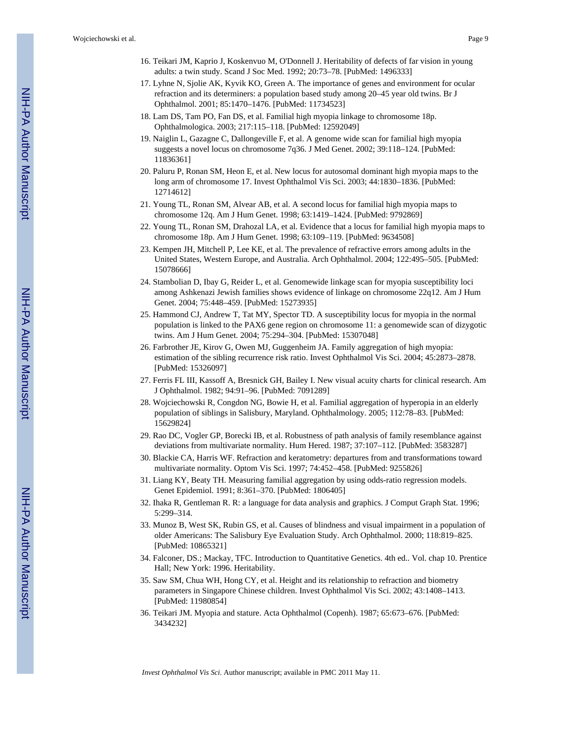- 16. Teikari JM, Kaprio J, Koskenvuo M, O'Donnell J. Heritability of defects of far vision in young adults: a twin study. Scand J Soc Med. 1992; 20:73–78. [PubMed: 1496333]
- 17. Lyhne N, Sjolie AK, Kyvik KO, Green A. The importance of genes and environment for ocular refraction and its determiners: a population based study among 20–45 year old twins. Br J Ophthalmol. 2001; 85:1470–1476. [PubMed: 11734523]
- 18. Lam DS, Tam PO, Fan DS, et al. Familial high myopia linkage to chromosome 18p. Ophthalmologica. 2003; 217:115–118. [PubMed: 12592049]
- 19. Naiglin L, Gazagne C, Dallongeville F, et al. A genome wide scan for familial high myopia suggests a novel locus on chromosome 7q36. J Med Genet. 2002; 39:118–124. [PubMed: 11836361]
- 20. Paluru P, Ronan SM, Heon E, et al. New locus for autosomal dominant high myopia maps to the long arm of chromosome 17. Invest Ophthalmol Vis Sci. 2003; 44:1830–1836. [PubMed: 12714612]
- 21. Young TL, Ronan SM, Alvear AB, et al. A second locus for familial high myopia maps to chromosome 12q. Am J Hum Genet. 1998; 63:1419–1424. [PubMed: 9792869]
- 22. Young TL, Ronan SM, Drahozal LA, et al. Evidence that a locus for familial high myopia maps to chromosome 18p. Am J Hum Genet. 1998; 63:109–119. [PubMed: 9634508]
- 23. Kempen JH, Mitchell P, Lee KE, et al. The prevalence of refractive errors among adults in the United States, Western Europe, and Australia. Arch Ophthalmol. 2004; 122:495–505. [PubMed: 15078666]
- 24. Stambolian D, Ibay G, Reider L, et al. Genomewide linkage scan for myopia susceptibility loci among Ashkenazi Jewish families shows evidence of linkage on chromosome 22q12. Am J Hum Genet. 2004; 75:448–459. [PubMed: 15273935]
- 25. Hammond CJ, Andrew T, Tat MY, Spector TD. A susceptibility locus for myopia in the normal population is linked to the PAX6 gene region on chromosome 11: a genomewide scan of dizygotic twins. Am J Hum Genet. 2004; 75:294–304. [PubMed: 15307048]
- 26. Farbrother JE, Kirov G, Owen MJ, Guggenheim JA. Family aggregation of high myopia: estimation of the sibling recurrence risk ratio. Invest Ophthalmol Vis Sci. 2004; 45:2873–2878. [PubMed: 15326097]
- 27. Ferris FL III, Kassoff A, Bresnick GH, Bailey I. New visual acuity charts for clinical research. Am J Ophthalmol. 1982; 94:91–96. [PubMed: 7091289]
- 28. Wojciechowski R, Congdon NG, Bowie H, et al. Familial aggregation of hyperopia in an elderly population of siblings in Salisbury, Maryland. Ophthalmology. 2005; 112:78–83. [PubMed: 15629824]
- 29. Rao DC, Vogler GP, Borecki IB, et al. Robustness of path analysis of family resemblance against deviations from multivariate normality. Hum Hered. 1987; 37:107–112. [PubMed: 3583287]
- 30. Blackie CA, Harris WF. Refraction and keratometry: departures from and transformations toward multivariate normality. Optom Vis Sci. 1997; 74:452–458. [PubMed: 9255826]
- 31. Liang KY, Beaty TH. Measuring familial aggregation by using odds-ratio regression models. Genet Epidemiol. 1991; 8:361–370. [PubMed: 1806405]
- 32. Ihaka R, Gentleman R. R: a language for data analysis and graphics. J Comput Graph Stat. 1996; 5:299–314.
- 33. Munoz B, West SK, Rubin GS, et al. Causes of blindness and visual impairment in a population of older Americans: The Salisbury Eye Evaluation Study. Arch Ophthalmol. 2000; 118:819–825. [PubMed: 10865321]
- 34. Falconer, DS.; Mackay, TFC. Introduction to Quantitative Genetics. 4th ed.. Vol. chap 10. Prentice Hall; New York: 1996. Heritability.
- 35. Saw SM, Chua WH, Hong CY, et al. Height and its relationship to refraction and biometry parameters in Singapore Chinese children. Invest Ophthalmol Vis Sci. 2002; 43:1408–1413. [PubMed: 11980854]
- 36. Teikari JM. Myopia and stature. Acta Ophthalmol (Copenh). 1987; 65:673–676. [PubMed: 3434232]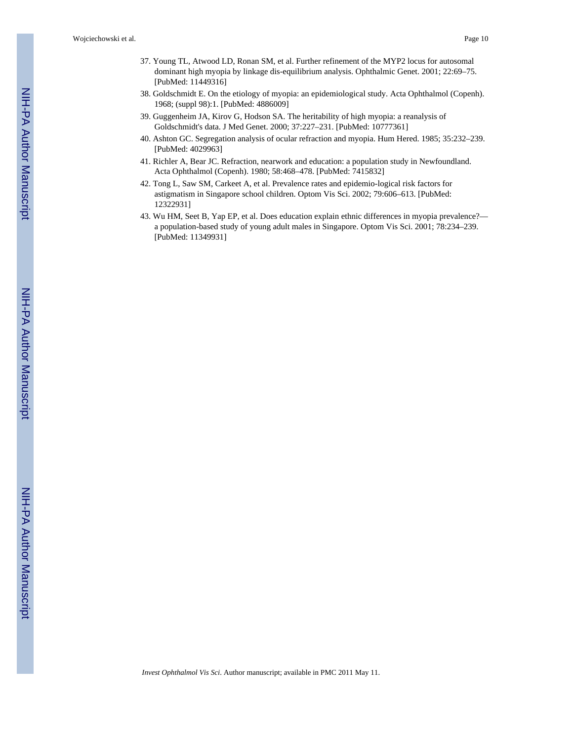Wojciechowski et al. Page 10

- 37. Young TL, Atwood LD, Ronan SM, et al. Further refinement of the MYP2 locus for autosomal dominant high myopia by linkage dis-equilibrium analysis. Ophthalmic Genet. 2001; 22:69–75. [PubMed: 11449316]
- 38. Goldschmidt E. On the etiology of myopia: an epidemiological study. Acta Ophthalmol (Copenh). 1968; (suppl 98):1. [PubMed: 4886009]
- 39. Guggenheim JA, Kirov G, Hodson SA. The heritability of high myopia: a reanalysis of Goldschmidt's data. J Med Genet. 2000; 37:227–231. [PubMed: 10777361]
- 40. Ashton GC. Segregation analysis of ocular refraction and myopia. Hum Hered. 1985; 35:232–239. [PubMed: 4029963]
- 41. Richler A, Bear JC. Refraction, nearwork and education: a population study in Newfoundland. Acta Ophthalmol (Copenh). 1980; 58:468–478. [PubMed: 7415832]
- 42. Tong L, Saw SM, Carkeet A, et al. Prevalence rates and epidemio-logical risk factors for astigmatism in Singapore school children. Optom Vis Sci. 2002; 79:606–613. [PubMed: 12322931]
- 43. Wu HM, Seet B, Yap EP, et al. Does education explain ethnic differences in myopia prevalence? a population-based study of young adult males in Singapore. Optom Vis Sci. 2001; 78:234–239. [PubMed: 11349931]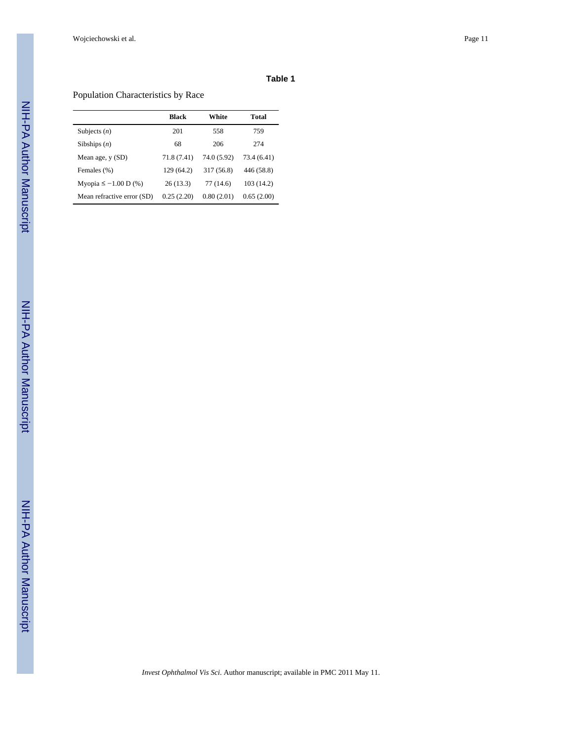Wojciechowski et al. Page 11

### **Table 1**

# Population Characteristics by Race

|                            | Black       | White       | Total       |
|----------------------------|-------------|-------------|-------------|
| Subjects $(n)$             | 201         | 558         | 759         |
| Sibships $(n)$             | 68          | 206         | 274         |
| Mean age, y (SD)           | 71.8 (7.41) | 74.0 (5.92) | 73.4 (6.41) |
| Females (%)                | 129 (64.2)  | 317 (56.8)  | 446 (58.8)  |
| Myopia ≤ $-1.00$ D (%)     | 26(13.3)    | 77 (14.6)   | 103 (14.2)  |
| Mean refractive error (SD) | 0.25(2.20)  | 0.80(2.01)  | 0.65(2.00)  |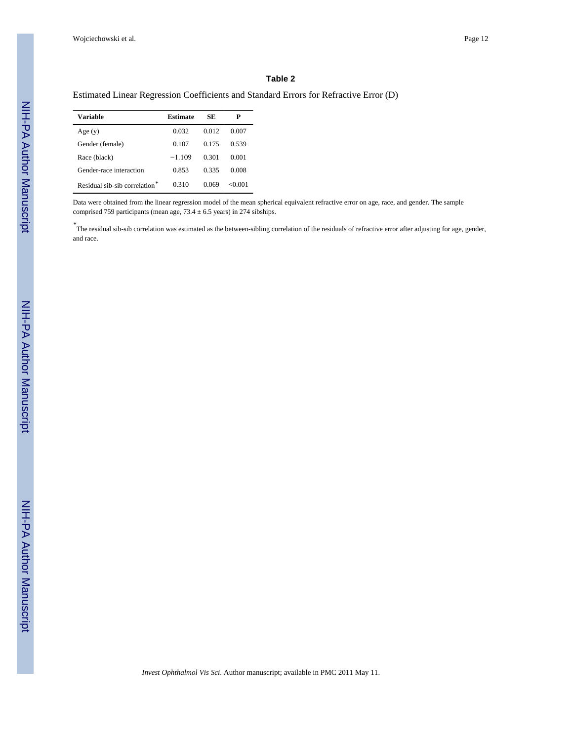#### **Table 2**

#### Estimated Linear Regression Coefficients and Standard Errors for Refractive Error (D)

| Variable                                  | Estimate | SE    | Р      |
|-------------------------------------------|----------|-------|--------|
| Age(y)                                    | 0.032    | 0.012 | 0.007  |
| Gender (female)                           | 0.107    | 0.175 | 0.539  |
| Race (black)                              | $-1.109$ | 0.301 | 0.001  |
| Gender-race interaction                   | 0.853    | 0.335 | 0.008  |
| Residual sib-sib correlation <sup>*</sup> | 0.310    | 0.069 | <0.001 |

Data were obtained from the linear regression model of the mean spherical equivalent refractive error on age, race, and gender. The sample comprised 759 participants (mean age,  $73.4 \pm 6.5$  years) in 274 sibships.

*\** The residual sib-sib correlation was estimated as the between-sibling correlation of the residuals of refractive error after adjusting for age, gender, and race.